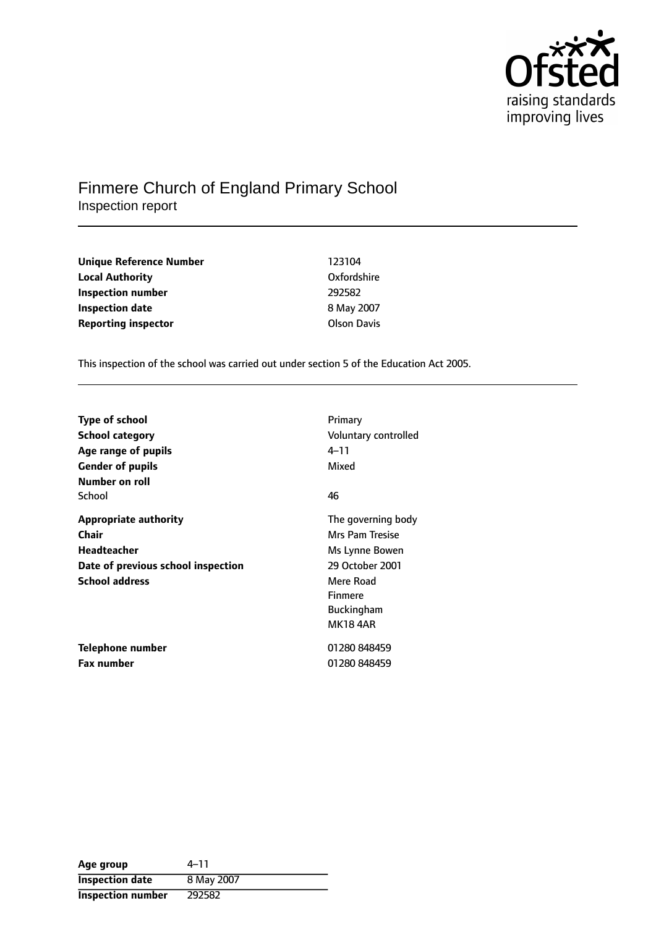

## Finmere Church of England Primary School Inspection report

| Unique Reference Number    | 123104             |
|----------------------------|--------------------|
| <b>Local Authority</b>     | Oxfordshire        |
| Inspection number          | 292582             |
| Inspection date            | 8 May 2007         |
| <b>Reporting inspector</b> | <b>Olson Davis</b> |

This inspection of the school was carried out under section 5 of the Education Act 2005.

| <b>Type of school</b><br><b>School category</b><br>Age range of pupils                                              | Primary<br>Voluntary controlled<br>4–11                                                                                                                  |
|---------------------------------------------------------------------------------------------------------------------|----------------------------------------------------------------------------------------------------------------------------------------------------------|
| <b>Gender of pupils</b><br>Number on roll                                                                           | Mixed                                                                                                                                                    |
| School                                                                                                              | 46                                                                                                                                                       |
| <b>Appropriate authority</b><br>Chair<br>Headteacher<br>Date of previous school inspection<br><b>School address</b> | The governing body<br><b>Mrs Pam Tresise</b><br>Ms Lynne Bowen<br>29 October 2001<br>Mere Road<br><b>Finmere</b><br><b>Buckingham</b><br><b>MK18 4AR</b> |
| Telephone number<br><b>Fax number</b>                                                                               | 01280 848459<br>01280 848459                                                                                                                             |

| Age group                | $4 - 11$   |
|--------------------------|------------|
| <b>Inspection date</b>   | 8 May 2007 |
| <b>Inspection number</b> | 292582     |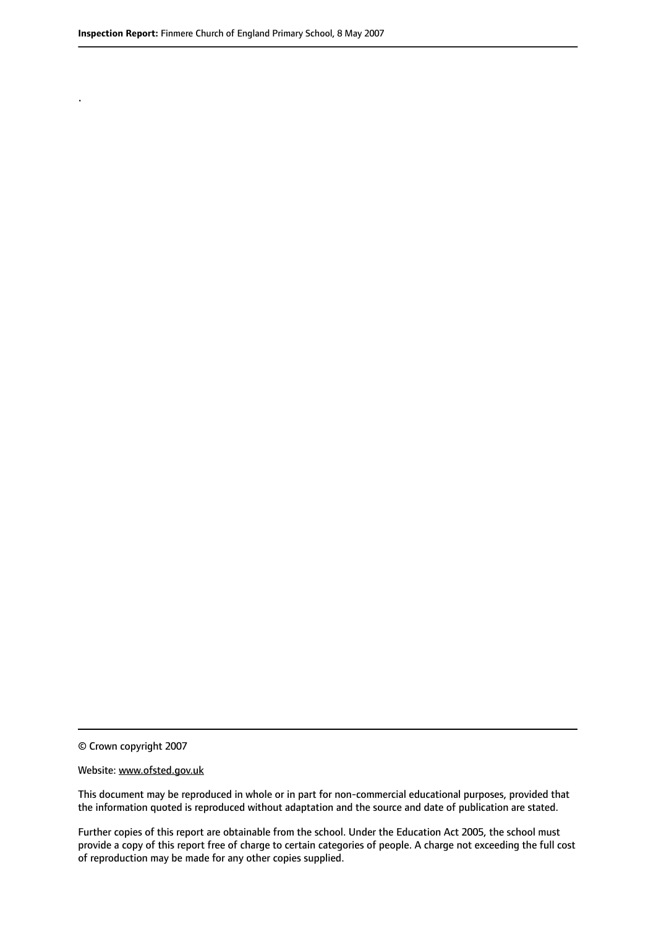.

© Crown copyright 2007

#### Website: www.ofsted.gov.uk

This document may be reproduced in whole or in part for non-commercial educational purposes, provided that the information quoted is reproduced without adaptation and the source and date of publication are stated.

Further copies of this report are obtainable from the school. Under the Education Act 2005, the school must provide a copy of this report free of charge to certain categories of people. A charge not exceeding the full cost of reproduction may be made for any other copies supplied.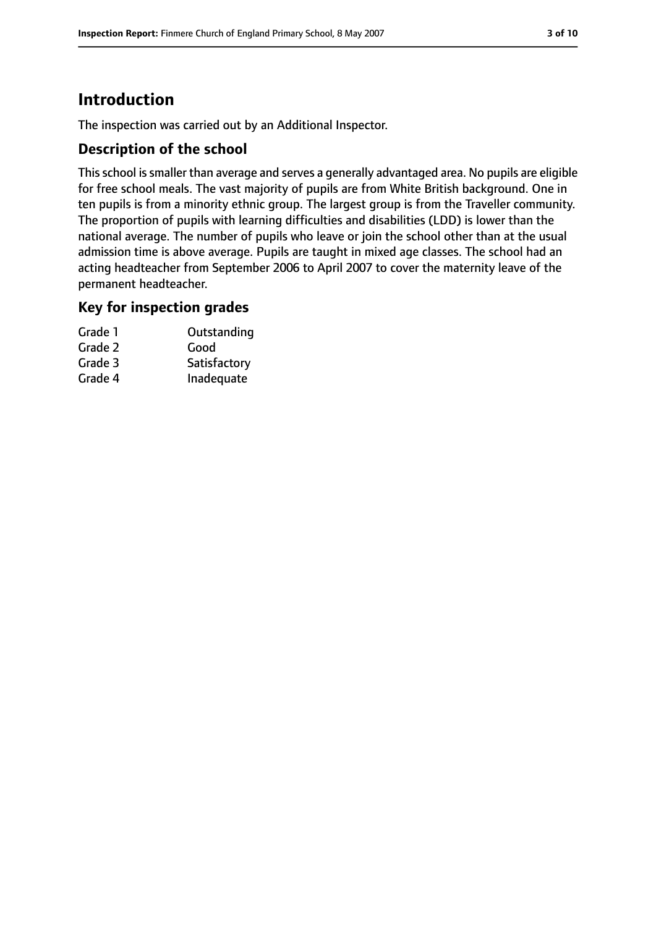# **Introduction**

The inspection was carried out by an Additional Inspector.

### **Description of the school**

Thisschool issmaller than average and serves a generally advantaged area. No pupils are eligible for free school meals. The vast majority of pupils are from White British background. One in ten pupils is from a minority ethnic group. The largest group is from the Traveller community. The proportion of pupils with learning difficulties and disabilities (LDD) is lower than the national average. The number of pupils who leave or join the school other than at the usual admission time is above average. Pupils are taught in mixed age classes. The school had an acting headteacher from September 2006 to April 2007 to cover the maternity leave of the permanent headteacher.

### **Key for inspection grades**

| Grade 1 | Outstanding  |
|---------|--------------|
| Grade 2 | Good         |
| Grade 3 | Satisfactory |
| Grade 4 | Inadequate   |
|         |              |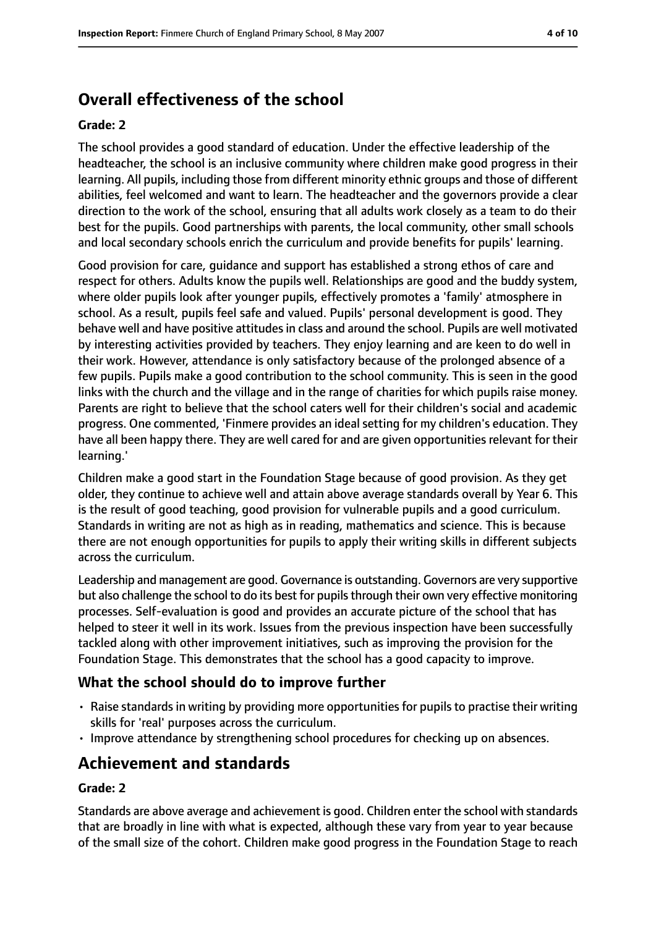# **Overall effectiveness of the school**

#### **Grade: 2**

The school provides a good standard of education. Under the effective leadership of the headteacher, the school is an inclusive community where children make good progress in their learning. All pupils, including those from different minority ethnic groups and those of different abilities, feel welcomed and want to learn. The headteacher and the governors provide a clear direction to the work of the school, ensuring that all adults work closely as a team to do their best for the pupils. Good partnerships with parents, the local community, other small schools and local secondary schools enrich the curriculum and provide benefits for pupils' learning.

Good provision for care, guidance and support has established a strong ethos of care and respect for others. Adults know the pupils well. Relationships are good and the buddy system, where older pupils look after younger pupils, effectively promotes a 'family' atmosphere in school. As a result, pupils feel safe and valued. Pupils' personal development is good. They behave well and have positive attitudes in class and around the school. Pupils are well motivated by interesting activities provided by teachers. They enjoy learning and are keen to do well in their work. However, attendance is only satisfactory because of the prolonged absence of a few pupils. Pupils make a good contribution to the school community. This is seen in the good links with the church and the village and in the range of charities for which pupils raise money. Parents are right to believe that the school caters well for their children's social and academic progress. One commented, 'Finmere provides an ideal setting for my children's education. They have all been happy there. They are well cared for and are given opportunities relevant for their learning.'

Children make a good start in the Foundation Stage because of good provision. As they get older, they continue to achieve well and attain above average standards overall by Year 6. This is the result of good teaching, good provision for vulnerable pupils and a good curriculum. Standards in writing are not as high as in reading, mathematics and science. This is because there are not enough opportunities for pupils to apply their writing skills in different subjects across the curriculum.

Leadership and management are good. Governance is outstanding. Governors are very supportive but also challenge the school to do its best for pupils through their own very effective monitoring processes. Self-evaluation is good and provides an accurate picture of the school that has helped to steer it well in its work. Issues from the previous inspection have been successfully tackled along with other improvement initiatives, such as improving the provision for the Foundation Stage. This demonstrates that the school has a good capacity to improve.

## **What the school should do to improve further**

- Raise standards in writing by providing more opportunities for pupils to practise their writing skills for 'real' purposes across the curriculum.
- Improve attendance by strengthening school procedures for checking up on absences.

# **Achievement and standards**

### **Grade: 2**

Standards are above average and achievement is good. Children enter the school with standards that are broadly in line with what is expected, although these vary from year to year because of the small size of the cohort. Children make good progress in the Foundation Stage to reach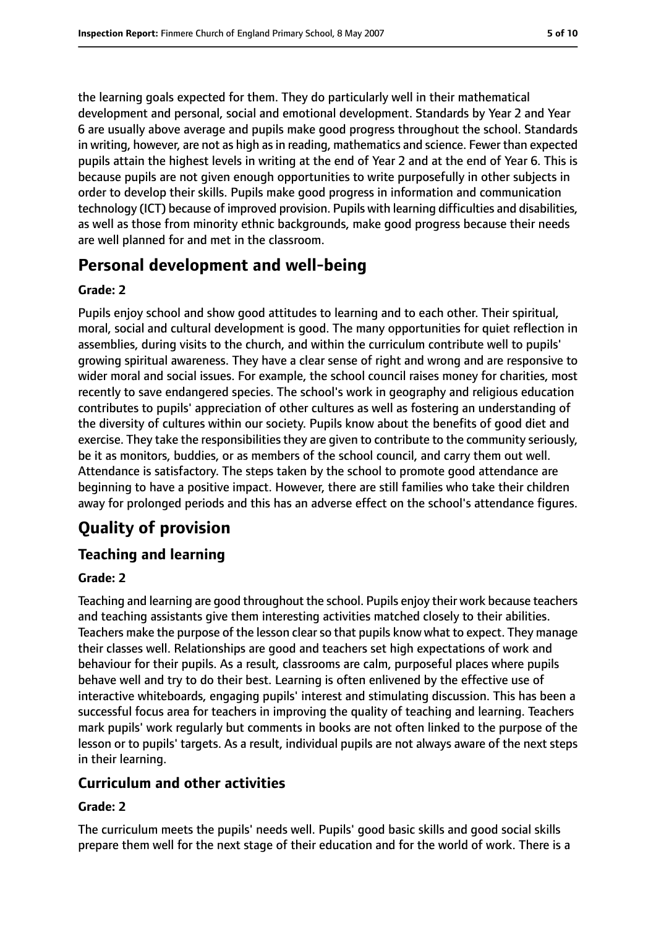the learning goals expected for them. They do particularly well in their mathematical development and personal, social and emotional development. Standards by Year 2 and Year 6 are usually above average and pupils make good progress throughout the school. Standards in writing, however, are not as high as in reading, mathematics and science. Fewer than expected pupils attain the highest levels in writing at the end of Year 2 and at the end of Year 6. This is because pupils are not given enough opportunities to write purposefully in other subjects in order to develop their skills. Pupils make good progress in information and communication technology (ICT) because of improved provision. Pupils with learning difficulties and disabilities, as well as those from minority ethnic backgrounds, make good progress because their needs are well planned for and met in the classroom.

## **Personal development and well-being**

### **Grade: 2**

Pupils enjoy school and show good attitudes to learning and to each other. Their spiritual, moral, social and cultural development is good. The many opportunities for quiet reflection in assemblies, during visits to the church, and within the curriculum contribute well to pupils' growing spiritual awareness. They have a clear sense of right and wrong and are responsive to wider moral and social issues. For example, the school council raises money for charities, most recently to save endangered species. The school's work in geography and religious education contributes to pupils' appreciation of other cultures as well as fostering an understanding of the diversity of cultures within our society. Pupils know about the benefits of good diet and exercise. They take the responsibilities they are given to contribute to the community seriously, be it as monitors, buddies, or as members of the school council, and carry them out well. Attendance is satisfactory. The steps taken by the school to promote good attendance are beginning to have a positive impact. However, there are still families who take their children away for prolonged periods and this has an adverse effect on the school's attendance figures.

# **Quality of provision**

## **Teaching and learning**

### **Grade: 2**

Teaching and learning are good throughout the school. Pupils enjoy their work because teachers and teaching assistants give them interesting activities matched closely to their abilities. Teachers make the purpose of the lesson clearso that pupils know what to expect. They manage their classes well. Relationships are good and teachers set high expectations of work and behaviour for their pupils. As a result, classrooms are calm, purposeful places where pupils behave well and try to do their best. Learning is often enlivened by the effective use of interactive whiteboards, engaging pupils' interest and stimulating discussion. This has been a successful focus area for teachers in improving the quality of teaching and learning. Teachers mark pupils' work regularly but comments in books are not often linked to the purpose of the lesson or to pupils' targets. As a result, individual pupils are not always aware of the next steps in their learning.

### **Curriculum and other activities**

### **Grade: 2**

The curriculum meets the pupils' needs well. Pupils' good basic skills and good social skills prepare them well for the next stage of their education and for the world of work. There is a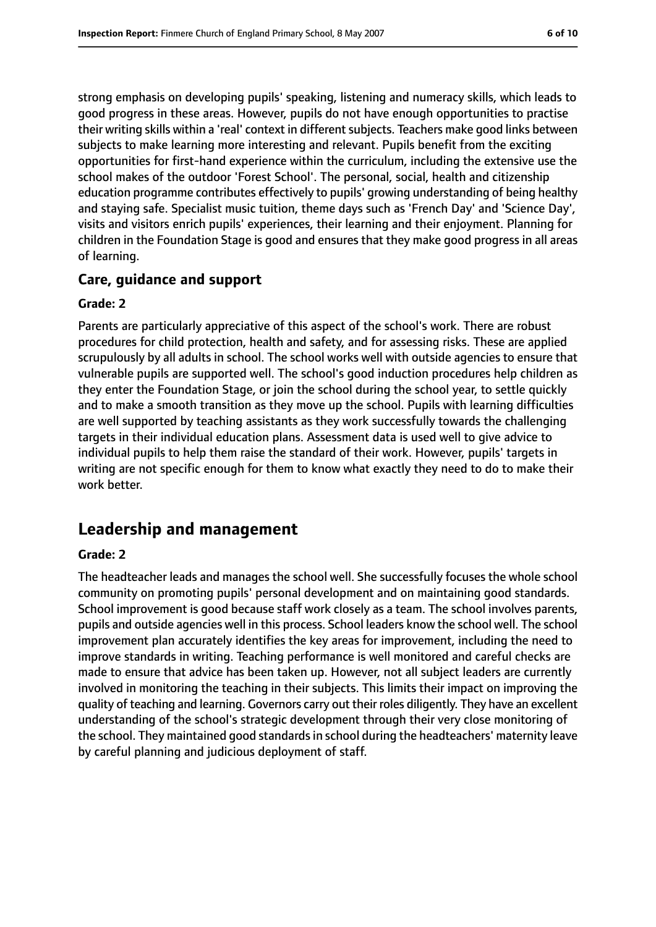strong emphasis on developing pupils' speaking, listening and numeracy skills, which leads to good progress in these areas. However, pupils do not have enough opportunities to practise their writing skills within a 'real' context in different subjects. Teachers make good links between subjects to make learning more interesting and relevant. Pupils benefit from the exciting opportunities for first-hand experience within the curriculum, including the extensive use the school makes of the outdoor 'Forest School'. The personal, social, health and citizenship education programme contributes effectively to pupils' growing understanding of being healthy and staying safe. Specialist music tuition, theme days such as 'French Day' and 'Science Day', visits and visitors enrich pupils' experiences, their learning and their enjoyment. Planning for children in the Foundation Stage is good and ensures that they make good progress in all areas of learning.

### **Care, guidance and support**

#### **Grade: 2**

Parents are particularly appreciative of this aspect of the school's work. There are robust procedures for child protection, health and safety, and for assessing risks. These are applied scrupulously by all adults in school. The school works well with outside agencies to ensure that vulnerable pupils are supported well. The school's good induction procedures help children as they enter the Foundation Stage, or join the school during the school year, to settle quickly and to make a smooth transition as they move up the school. Pupils with learning difficulties are well supported by teaching assistants as they work successfully towards the challenging targets in their individual education plans. Assessment data is used well to give advice to individual pupils to help them raise the standard of their work. However, pupils' targets in writing are not specific enough for them to know what exactly they need to do to make their work better.

## **Leadership and management**

#### **Grade: 2**

The headteacher leads and manages the school well. She successfully focuses the whole school community on promoting pupils' personal development and on maintaining good standards. School improvement is good because staff work closely as a team. The school involves parents, pupils and outside agencies well in this process. School leaders know the school well. The school improvement plan accurately identifies the key areas for improvement, including the need to improve standards in writing. Teaching performance is well monitored and careful checks are made to ensure that advice has been taken up. However, not all subject leaders are currently involved in monitoring the teaching in their subjects. This limits their impact on improving the quality of teaching and learning. Governors carry out their roles diligently. They have an excellent understanding of the school's strategic development through their very close monitoring of the school. They maintained good standardsin school during the headteachers' maternity leave by careful planning and judicious deployment of staff.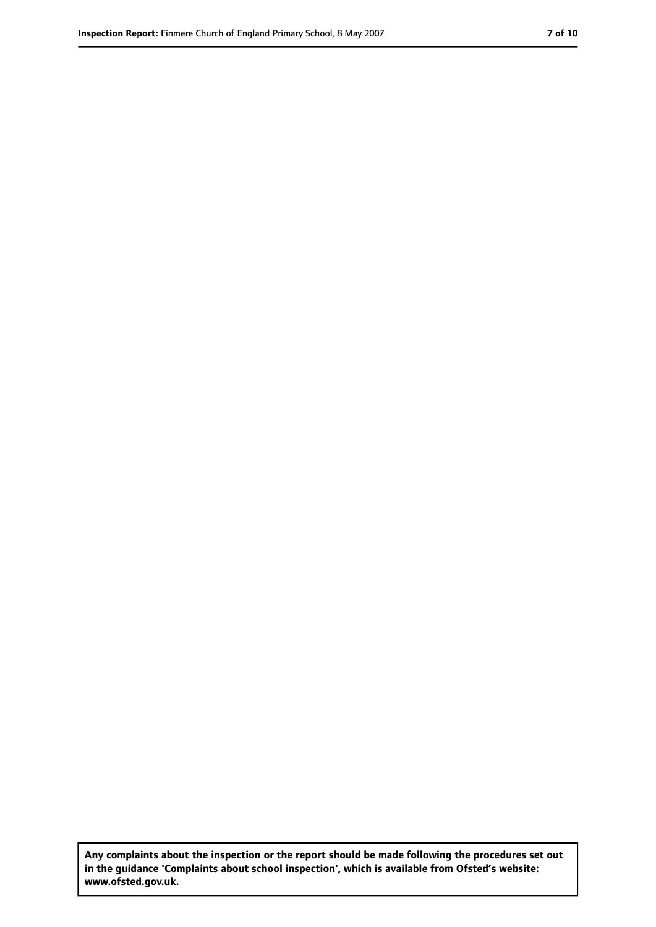**Any complaints about the inspection or the report should be made following the procedures set out in the guidance 'Complaints about school inspection', which is available from Ofsted's website: www.ofsted.gov.uk.**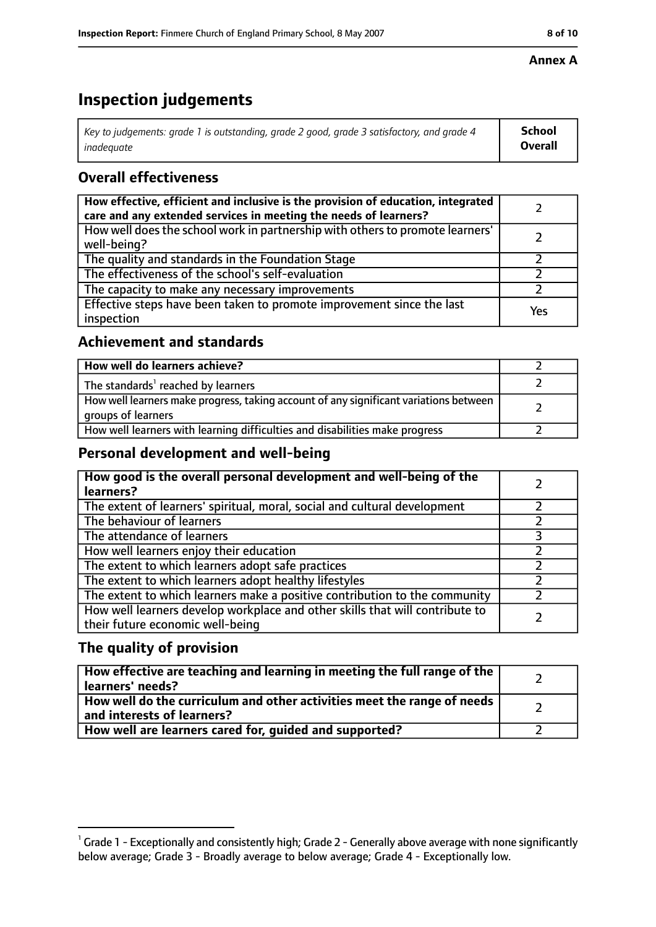#### **Annex A**

# **Inspection judgements**

| Key to judgements: grade 1 is outstanding, grade 2 good, grade 3 satisfactory, and grade 4 | School  |
|--------------------------------------------------------------------------------------------|---------|
| inadequate                                                                                 | Overall |

## **Overall effectiveness**

| How effective, efficient and inclusive is the provision of education, integrated<br>care and any extended services in meeting the needs of learners? |     |
|------------------------------------------------------------------------------------------------------------------------------------------------------|-----|
| How well does the school work in partnership with others to promote learners'<br>well-being?                                                         |     |
| The quality and standards in the Foundation Stage                                                                                                    |     |
| The effectiveness of the school's self-evaluation                                                                                                    |     |
| The capacity to make any necessary improvements                                                                                                      |     |
| Effective steps have been taken to promote improvement since the last<br>inspection                                                                  | Yes |

## **Achievement and standards**

| How well do learners achieve?                                                                               |  |
|-------------------------------------------------------------------------------------------------------------|--|
| The standards <sup>1</sup> reached by learners                                                              |  |
| How well learners make progress, taking account of any significant variations between<br>groups of learners |  |
| How well learners with learning difficulties and disabilities make progress                                 |  |

## **Personal development and well-being**

| How good is the overall personal development and well-being of the<br>learners?                                  |  |
|------------------------------------------------------------------------------------------------------------------|--|
| The extent of learners' spiritual, moral, social and cultural development                                        |  |
| The behaviour of learners                                                                                        |  |
| The attendance of learners                                                                                       |  |
| How well learners enjoy their education                                                                          |  |
| The extent to which learners adopt safe practices                                                                |  |
| The extent to which learners adopt healthy lifestyles                                                            |  |
| The extent to which learners make a positive contribution to the community                                       |  |
| How well learners develop workplace and other skills that will contribute to<br>their future economic well-being |  |

## **The quality of provision**

| How effective are teaching and learning in meeting the full range of the<br>learners' needs?          |  |
|-------------------------------------------------------------------------------------------------------|--|
| How well do the curriculum and other activities meet the range of needs<br>and interests of learners? |  |
| How well are learners cared for, quided and supported?                                                |  |

 $^1$  Grade 1 - Exceptionally and consistently high; Grade 2 - Generally above average with none significantly below average; Grade 3 - Broadly average to below average; Grade 4 - Exceptionally low.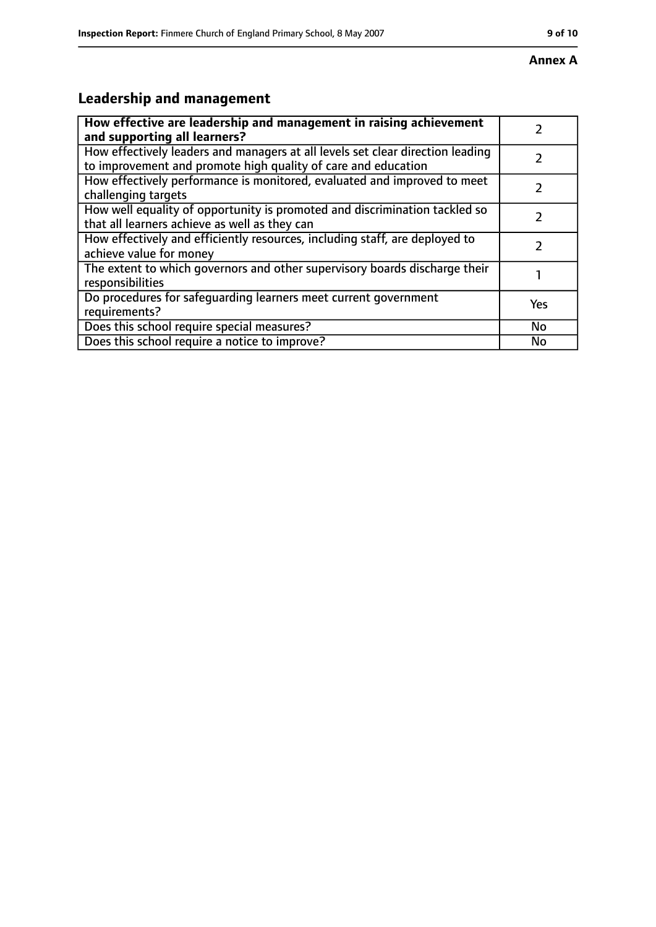#### **Annex A**

# **Leadership and management**

| How effective are leadership and management in raising achievement                                                                              |     |
|-------------------------------------------------------------------------------------------------------------------------------------------------|-----|
| and supporting all learners?                                                                                                                    |     |
| How effectively leaders and managers at all levels set clear direction leading<br>to improvement and promote high quality of care and education |     |
| How effectively performance is monitored, evaluated and improved to meet<br>challenging targets                                                 |     |
| How well equality of opportunity is promoted and discrimination tackled so<br>that all learners achieve as well as they can                     |     |
| How effectively and efficiently resources, including staff, are deployed to<br>achieve value for money                                          | 7   |
| The extent to which governors and other supervisory boards discharge their<br>responsibilities                                                  |     |
| Do procedures for safequarding learners meet current government<br>requirements?                                                                | Yes |
| Does this school require special measures?                                                                                                      | No  |
| Does this school require a notice to improve?                                                                                                   | No  |